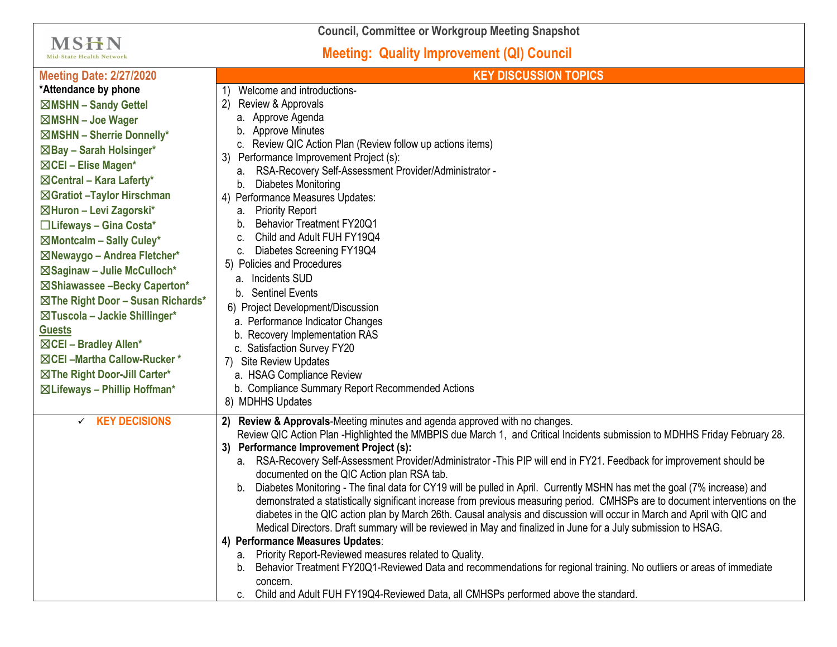**Council, Committee or Workgroup Meeting Snapshot**

## **Meeting: Quality Improvement (QI) Council**

 $MSHN$ Mid-State Health Network

| <b>Meeting Date: 2/27/2020</b>                                                                                                                                                                                                                                                                                                                                                                                                                                                                                                                                                                                                                            | <b>KEY DISCUSSION TOPICS</b>                                                                                                                                                                                                                                                                                                                                                                                                                                                                                                                                                                                                                                                                                                                                                                                                                                                                                                                                                                                                                                                                                                                                                                                                                                                        |
|-----------------------------------------------------------------------------------------------------------------------------------------------------------------------------------------------------------------------------------------------------------------------------------------------------------------------------------------------------------------------------------------------------------------------------------------------------------------------------------------------------------------------------------------------------------------------------------------------------------------------------------------------------------|-------------------------------------------------------------------------------------------------------------------------------------------------------------------------------------------------------------------------------------------------------------------------------------------------------------------------------------------------------------------------------------------------------------------------------------------------------------------------------------------------------------------------------------------------------------------------------------------------------------------------------------------------------------------------------------------------------------------------------------------------------------------------------------------------------------------------------------------------------------------------------------------------------------------------------------------------------------------------------------------------------------------------------------------------------------------------------------------------------------------------------------------------------------------------------------------------------------------------------------------------------------------------------------|
| *Attendance by phone<br>⊠MSHN - Sandy Gettel<br>⊠MSHN - Joe Wager<br>$\boxtimes$ MSHN - Sherrie Donnelly*<br>⊠Bay - Sarah Holsinger*<br>$\boxtimes$ CEI – Elise Magen*<br>$\boxtimes$ Central – Kara Laferty*<br>⊠Gratiot - Taylor Hirschman<br>⊠Huron - Levi Zagorski*<br>□Lifeways - Gina Costa*<br>⊠Montcalm - Sally Culey*<br>⊠Newaygo - Andrea Fletcher*<br>$\boxtimes$ Saginaw - Julie McCulloch*<br>⊠Shiawassee -Becky Caperton*<br>⊠The Right Door - Susan Richards*<br>⊠Tuscola - Jackie Shillinger*<br><b>Guests</b><br>⊠CEI - Bradley Allen*<br>⊠ CEI - Martha Callow-Rucker*<br>⊠The Right Door-Jill Carter*<br>⊠ Lifeways - Phillip Hoffman* | Welcome and introductions-<br>1)<br>(2)<br>Review & Approvals<br>a. Approve Agenda<br>b. Approve Minutes<br>c. Review QIC Action Plan (Review follow up actions items)<br>3) Performance Improvement Project (s):<br>RSA-Recovery Self-Assessment Provider/Administrator -<br>a.<br>Diabetes Monitoring<br>b.<br>4) Performance Measures Updates:<br><b>Priority Report</b><br>а.<br><b>Behavior Treatment FY20Q1</b><br>b.<br>Child and Adult FUH FY19Q4<br>C.<br>c. Diabetes Screening FY19Q4<br>5) Policies and Procedures<br>a. Incidents SUD<br>b. Sentinel Events<br>6) Project Development/Discussion<br>a. Performance Indicator Changes<br>b. Recovery Implementation RAS<br>c. Satisfaction Survey FY20<br>7) Site Review Updates<br>a. HSAG Compliance Review<br>b. Compliance Summary Report Recommended Actions<br>8) MDHHS Updates                                                                                                                                                                                                                                                                                                                                                                                                                                    |
| $\times$ KEY DECISIONS                                                                                                                                                                                                                                                                                                                                                                                                                                                                                                                                                                                                                                    | 2) Review & Approvals-Meeting minutes and agenda approved with no changes.<br>Review QIC Action Plan -Highlighted the MMBPIS due March 1, and Critical Incidents submission to MDHHS Friday February 28.<br>3) Performance Improvement Project (s):<br>a. RSA-Recovery Self-Assessment Provider/Administrator -This PIP will end in FY21. Feedback for improvement should be<br>documented on the QIC Action plan RSA tab.<br>Diabetes Monitoring - The final data for CY19 will be pulled in April. Currently MSHN has met the goal (7% increase) and<br>b.<br>demonstrated a statistically significant increase from previous measuring period. CMHSPs are to document interventions on the<br>diabetes in the QIC action plan by March 26th. Causal analysis and discussion will occur in March and April with QIC and<br>Medical Directors. Draft summary will be reviewed in May and finalized in June for a July submission to HSAG.<br>4) Performance Measures Updates:<br>Priority Report-Reviewed measures related to Quality.<br>а.<br>Behavior Treatment FY20Q1-Reviewed Data and recommendations for regional training. No outliers or areas of immediate<br>b.<br>concern.<br>Child and Adult FUH FY19Q4-Reviewed Data, all CMHSPs performed above the standard.<br>C. |